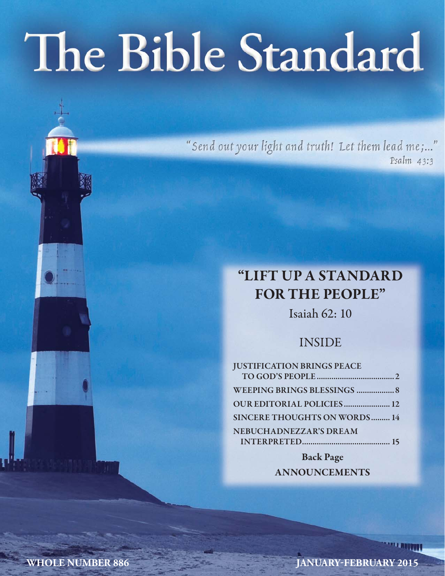# The Bible Standard

"Send out your light and truth! Let them lead me;..." Psalm 43:3

## **"LIFT UP A STANDARD FOR THE PEOPLE"**

Isaiah 62: 10

#### INSIDE

| <b>JUSTIFICATION BRINGS PEACE</b>   |  |
|-------------------------------------|--|
|                                     |  |
| WEEPING BRINGS BLESSINGS  8         |  |
| <b>OUR EDITORIAL POLICIES 12</b>    |  |
| <b>SINCERE THOUGHTS ON WORDS 14</b> |  |
| NEBUCHADNEZZAR'S DREAM              |  |
|                                     |  |
|                                     |  |

**Back Page ANNOUNCEMENTS**

**WHOLE NUMBER 886 JANUARY-FEBRUARY 2015**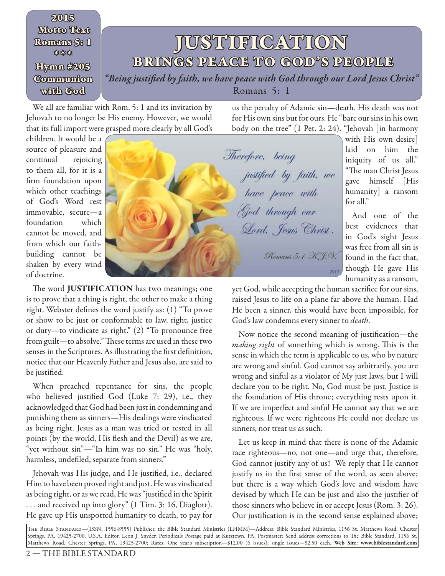#### **JUSTIFICATION BRINGS PEACE TO GOD'S PEOPLE** *"Being justifi ed by faith, we have peace with God through our Lord Jesus Christ"*  Romans 5: 1 **2015 Motto Text Romans 5: 1 \* \* \* Hymn #205 Communion with God**

We all are familiar with Rom. 5: 1 and its invitation by Jehovah to no longer be His enemy. However, we would that its full import were grasped more clearly by all God's

us the penalty of Adamic sin—death. His death was not for His own sins but for ours. He "bare our sins in his own body on the tree" (1 Pet. 2: 24). "Jehovah [in harmony

children. It would be a source of pleasure and continual rejoicing to them all, for it is a firm foundation upon which other teachings of God's Word rest immovable, secure—a foundation which cannot be moved, and from which our faithbuilding cannot be shaken by every wind of doctrine.



The word **JUSTIFICATION** has two meanings; one is to prove that a thing is right, the other to make a thing right. Webster defines the word justify as:  $(1)$  "To prove or show to be just or conformable to law, right, justice or duty—to vindicate as right." (2) "To pronounce free from guilt-to absolve." These terms are used in these two senses in the Scriptures. As illustrating the first definition, notice that our Heavenly Father and Jesus also, are said to be justified.

When preached repentance for sins, the people who believed justified God (Luke  $7: 29$ ), i.e., they acknowledged that God had been just in condemning and punishing them as sinners—His dealings were vindicated as being right. Jesus as a man was tried or tested in all points (by the world, His flesh and the Devil) as we are, "yet without sin"—"In him was no sin." He was "holy, harmless, undefiled, separate from sinners."

Jehovah was His judge, and He justified, i.e., declared Him to have been proved right and just. He was vindicated as being right, or as we read, He was "justified in the Spirit . . . and received up into glory" (1 Tim. 3: 16, Diaglott). He gave up His unspotted humanity to death, to pay for laid on him the iniquity of us all." "The man Christ Jesus gave himself [His for all."

humanity] a ransom And one of the best evidences that in God's sight Jesus was free from all sin is found in the fact that, though He gave His

humanity as a ransom,

with His own desire]

yet God, while accepting the human sacrifice for our sins, raised Jesus to life on a plane far above the human. Had He been a sinner, this would have been impossible, for God's law condemns every sinner to death.

Now notice the second meaning of justification—the making right of something which is wrong. This is the sense in which the term is applicable to us, who by nature are wrong and sinful. God cannot say arbitrarily, you are wrong and sinful as a violator of My just laws, but I will declare you to be right. No, God must be just. Justice is the foundation of His throne; everything rests upon it. If we are imperfect and sinful He cannot say that we are righteous. If we were righteous He could not declare us sinners, nor treat us as such.

Let us keep in mind that there is none of the Adamic race righteous—no, not one—and urge that, therefore, God cannot justify any of us! We reply that He cannot justify us in the first sense of the word, as seen above; but there is a way which God's love and wisdom have devised by which He can be just and also the justifier of those sinners who believe in or accept Jesus (Rom. 3: 26). Our justification is in the second sense explained above;

The Bible Standard—(ISSN: 1556-8555) Publisher, the Bible Standard Ministries (LHMM)—Address: Bible Standard Ministries, 1156 St. Matthews Road, Chester Springs, PA, 19425-2700, U.S.A. Editor, Leon J. Snyder. Periodicals Postage paid at Kutztown, PA. Postmaster: Send address corrections to Th e Bible Standard, 1156 St. Matthews Road, Chester Springs, PA, 19425-2700; Rates: One year's subscription—\$12.00 (6 issues); single issues—\$2.50 each. **Web Site: www.biblestandard.com**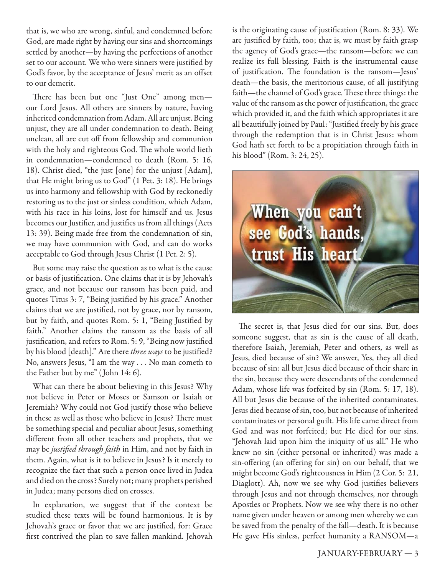that is, we who are wrong, sinful, and condemned before God, are made right by having our sins and shortcomings settled by another—by having the perfections of another set to our account. We who were sinners were justified by God's favor, by the acceptance of Jesus' merit as an offset to our demerit.

There has been but one "Just One" among menour Lord Jesus. All others are sinners by nature, having inherited condemnation from Adam. All are unjust. Being unjust, they are all under condemnation to death. Being unclean, all are cut off from fellowship and communion with the holy and righteous God. The whole world lieth in condemnation—condemned to death (Rom. 5: 16, 18). Christ died, "the just [one] for the unjust [Adam], that He might bring us to God" (1 Pet. 3: 18). He brings us into harmony and fellowship with God by reckonedly restoring us to the just or sinless condition, which Adam, with his race in his loins, lost for himself and us. Jesus becomes our Justifier, and justifies us from all things (Acts 13: 39). Being made free from the condemnation of sin, we may have communion with God, and can do works acceptable to God through Jesus Christ (1 Pet. 2: 5).

But some may raise the question as to what is the cause or basis of justification. One claims that it is by Jehovah's grace, and not because our ransom has been paid, and quotes Titus 3: 7, "Being justified by his grace." Another claims that we are justified, not by grace, nor by ransom, but by faith, and quotes Rom. 5: 1, "Being Justified by faith." Another claims the ransom as the basis of all justification, and refers to Rom. 5: 9, "Being now justified by his blood [death]." Are there three ways to be justified? No, answers Jesus, "I am the way . . . No man cometh to the Father but by me" ( John 14: 6).

What can there be about believing in this Jesus? Why not believe in Peter or Moses or Samson or Isaiah or Jeremiah? Why could not God justify those who believe in these as well as those who believe in Jesus? There must be something special and peculiar about Jesus, something different from all other teachers and prophets, that we may be justified through faith in Him, and not by faith in them. Again, what is it to believe in Jesus? Is it merely to recognize the fact that such a person once lived in Judea and died on the cross? Surely not; many prophets perished in Judea; many persons died on crosses.

In explanation, we suggest that if the context be studied these texts will be found harmonious. It is by Jehovah's grace or favor that we are justified, for: Grace first contrived the plan to save fallen mankind. Jehovah is the originating cause of justification (Rom.  $8: 33$ ). We are justified by faith, too; that is, we must by faith grasp the agency of God's grace—the ransom—before we can realize its full blessing. Faith is the instrumental cause of justification. The foundation is the ransom-Jesus' death—the basis, the meritorious cause, of all justifying faith-the channel of God's grace. These three things: the value of the ransom as the power of justification, the grace which provided it, and the faith which appropriates it are all beautifully joined by Paul: "Justified freely by his grace through the redemption that is in Christ Jesus: whom God hath set forth to be a propitiation through faith in his blood" (Rom. 3: 24, 25).



The secret is, that Jesus died for our sins. But, does someone suggest, that as sin is the cause of all death, therefore Isaiah, Jeremiah, Peter and others, as well as Jesus, died because of sin? We answer, Yes, they all died because of sin: all but Jesus died because of their share in the sin, because they were descendants of the condemned Adam, whose life was forfeited by sin (Rom. 5: 17, 18). All but Jesus die because of the inherited contaminates. Jesus died because of sin, too, but not because of inherited contaminates or personal guilt. His life came direct from God and was not forfeited; but He died for our sins. "Jehovah laid upon him the iniquity of us all." He who knew no sin (either personal or inherited) was made a sin-offering (an offering for sin) on our behalf, that we might become God's righteousness in Him (2 Cor. 5: 21, Diaglott). Ah, now we see why God justifies believers through Jesus and not through themselves, nor through Apostles or Prophets. Now we see why there is no other name given under heaven or among men whereby we can be saved from the penalty of the fall—death. It is because He gave His sinless, perfect humanity a RANSOM—a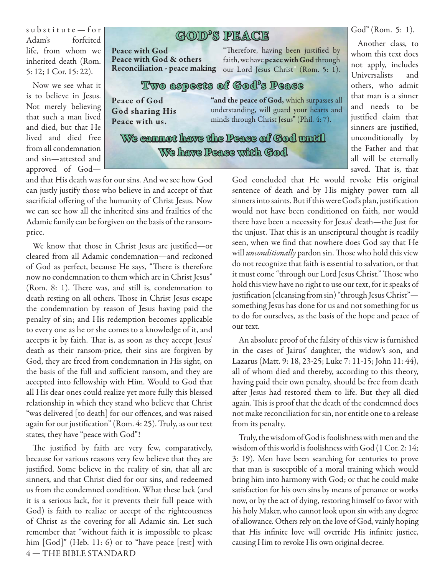$s$ u b  $s$ titute — for Adam's forfeited life, from whom we inherited death (Rom. 5: 12; 1 Cor. 15: 22).

Now we see what it is to believe in Jesus. Not merely believing that such a man lived and died, but that He lived and died free from all condemnation and sin—attested and approved of God—

### **GOD'S PE ACE PEACE**

**Peace with God Peace with God & others**

"Therefore, having been justified by faith, we have **peace with God** through Reconciliation - peace making our Lord Jesus Christ" (Rom. 5: 1).

#### **Two aspects of God's Peace**

**Peace of God God sharing His Peace with us.**

**"and the peace of God,** which surpasses all understanding, will guard your hearts and minds through Christ Jesus" (Phil. 4: 7).

We cannot have the Peace of God until **We have Peace with God**

whom this text does not apply, includes Universalists and others, who admit that man is a sinner and needs to be justified claim that sinners are justified, unconditionally by the Father and that all will be eternally saved. That is, that

God" (Rom. 5: 1). Another class, to

God concluded that He would revoke His original sentence of death and by His mighty power turn all sinners into saints. But if this were God's plan, justification would not have been conditioned on faith, nor would there have been a necessity for Jesus' death—the Just for the unjust. That this is an unscriptural thought is readily seen, when we find that nowhere does God say that He will *unconditionally* pardon sin. Those who hold this view do not recognize that faith is essential to salvation, or that it must come "through our Lord Jesus Christ." Those who hold this view have no right to use our text, for it speaks of justification (cleansing from sin) "through Jesus Christ"something Jesus has done for us and not something for us to do for ourselves, as the basis of the hope and peace of our text.

An absolute proof of the falsity of this view is furnished in the cases of Jairus' daughter, the widow's son, and Lazarus (Matt. 9: 18, 23-25; Luke 7: 11-15; John 11: 44), all of whom died and thereby, according to this theory, having paid their own penalty, should be free from death after Jesus had restored them to life. But they all died again. This is proof that the death of the condemned does not make reconciliation for sin, nor entitle one to a release from its penalty.

Truly, the wisdom of God is foolishness with men and the wisdom of this world is foolishness with God (1 Cor. 2: 14; 3: 19). Men have been searching for centuries to prove that man is susceptible of a moral training which would bring him into harmony with God; or that he could make satisfaction for his own sins by means of penance or works now, or by the act of dying, restoring himself to favor with his holy Maker, who cannot look upon sin with any degree of allowance. Others rely on the love of God, vainly hoping that His infinite love will override His infinite justice, causing Him to revoke His own original decree.

and that His death was for our sins. And we see how God can justly justify those who believe in and accept of that sacrificial offering of the humanity of Christ Jesus. Now we can see how all the inherited sins and frailties of the Adamic family can be forgiven on the basis of the ransomprice.

We know that those in Christ Jesus are justified—or cleared from all Adamic condemnation—and reckoned of God as perfect, because He says, "There is therefore now no condemnation to them which are in Christ Jesus" (Rom. 8: 1). There was, and still is, condemnation to death resting on all others. Those in Christ Jesus escape the condemnation by reason of Jesus having paid the penalty of sin; and His redemption becomes applicable to every one as he or she comes to a knowledge of it, and accepts it by faith. That is, as soon as they accept Jesus' death as their ransom-price, their sins are forgiven by God, they are freed from condemnation in His sight, on the basis of the full and sufficient ransom, and they are accepted into fellowship with Him. Would to God that all His dear ones could realize yet more fully this blessed relationship in which they stand who believe that Christ "was delivered [to death] for our offences, and was raised again for our justification" (Rom. 4: 25). Truly, as our text states, they have "peace with God"!

4 — THE BIBLE STANDARD The justified by faith are very few, comparatively, because for various reasons very few believe that they are justified. Some believe in the reality of sin, that all are sinners, and that Christ died for our sins, and redeemed us from the condemned condition. What these lack (and it is a serious lack, for it prevents their full peace with God) is faith to realize or accept of the righteousness of Christ as the covering for all Adamic sin. Let such remember that "without faith it is impossible to please him [God]" (Heb. 11: 6) or to "have peace [rest] with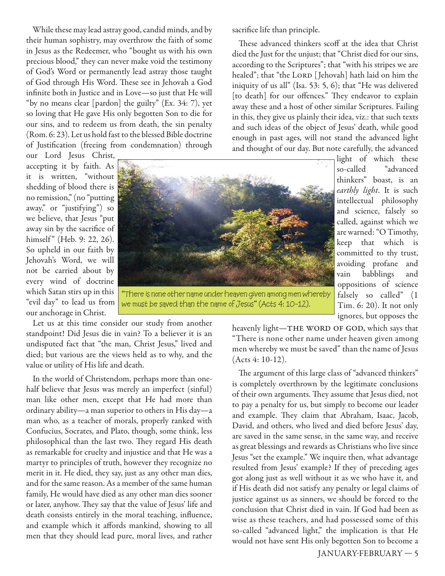While these may lead astray good, candid minds, and by their human sophistry, may overthrow the faith of some in Jesus as the Redeemer, who "bought us with his own precious blood," they can never make void the testimony of God's Word or permanently lead astray those taught of God through His Word. These see in Jehovah a God infinite both in Justice and in Love—so just that He will "by no means clear [pardon] the guilty" (Ex. 34: 7), yet so loving that He gave His only begotten Son to die for our sins, and to redeem us from death, the sin penalty (Rom. 6: 23). Let us hold fast to the blessed Bible doctrine of Justification (freeing from condemnation) through

our Lord Jesus Christ, accepting it by faith. As it is written, "without shedding of blood there is no remission," (no "putting away," or "justifying") so we believe, that Jesus "put away sin by the sacrifice of himself" (Heb. 9: 22, 26). So upheld in our faith by Jehovah's Word, we will not be carried about by every wind of doctrine which Satan stirs up in this "evil day" to lead us from our anchorage in Christ.

Let us at this time consider our study from another standpoint! Did Jesus die in vain? To a believer it is an undisputed fact that "the man, Christ Jesus," lived and died; but various are the views held as to why, and the value or utility of His life and death.

In the world of Christendom, perhaps more than onehalf believe that Jesus was merely an imperfect (sinful) man like other men, except that He had more than ordinary ability—a man superior to others in His day—a man who, as a teacher of morals, properly ranked with Confucius, Socrates, and Plato, though, some think, less philosophical than the last two. They regard His death as remarkable for cruelty and injustice and that He was a martyr to principles of truth, however they recognize no merit in it. He died, they say, just as any other man dies, and for the same reason. As a member of the same human family, He would have died as any other man dies sooner or later, anyhow. They say that the value of Jesus' life and death consists entirely in the moral teaching, influence, and example which it affords mankind, showing to all men that they should lead pure, moral lives, and rather

sacrifice life than principle.

These advanced thinkers scoff at the idea that Christ died the Just for the unjust; that "Christ died for our sins, according to the Scriptures"; that "with his stripes we are healed"; that "the LORD [Jehovah] hath laid on him the iniquity of us all" (Isa. 53: 5, 6); that "He was delivered [to death] for our offences." They endeavor to explain away these and a host of other similar Scriptures. Failing in this, they give us plainly their idea, viz.: that such texts and such ideas of the object of Jesus' death, while good enough in past ages, will not stand the advanced light and thought of our day. But note carefully, the advanced



"There is none other name under heaven given among men whereby we must be saved than the name of Jesus" (Acts 4: 10-12).

light of which these so-called "advanced thinkers" boast, is an earthly light. It is such intellectual philosophy and science, falsely so called, against which we are warned: "O Timothy, keep that which is committed to thy trust, avoiding profane and vain babblings and oppositions of science falsely so called" (1 Tim. 6: 20). It not only ignores, but opposes the

heavenly light-THE WORD OF GOD, which says that "There is none other name under heaven given among men whereby we must be saved" than the name of Jesus (Acts 4: 10-12).

The argument of this large class of "advanced thinkers" is completely overthrown by the legitimate conclusions of their own arguments. They assume that Jesus died, not to pay a penalty for us, but simply to become our leader and example. They claim that Abraham, Isaac, Jacob, David, and others, who lived and died before Jesus' day, are saved in the same sense, in the same way, and receive as great blessings and rewards as Christians who live since Jesus "set the example." We inquire then, what advantage resulted from Jesus' example? If they of preceding ages got along just as well without it as we who have it, and if His death did not satisfy any penalty or legal claims of justice against us as sinners, we should be forced to the conclusion that Christ died in vain. If God had been as wise as these teachers, and had possessed some of this so-called "advanced light," the implication is that He would not have sent His only begotten Son to become a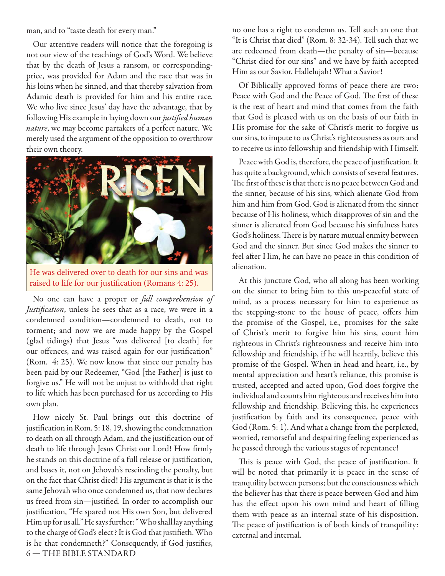man, and to "taste death for every man."

Our attentive readers will notice that the foregoing is not our view of the teachings of God's Word. We believe that by the death of Jesus a ransom, or correspondingprice, was provided for Adam and the race that was in his loins when he sinned, and that thereby salvation from Adamic death is provided for him and his entire race. We who live since Jesus' day have the advantage, that by following His example in laying down our justified human nature, we may become partakers of a perfect nature. We merely used the argument of the opposition to overthrow their own theory.



He was delivered over to death for our sins and was raised to life for our justification (Romans 4: 25).

No one can have a proper or full comprehension of Justification, unless he sees that as a race, we were in a condemned condition—condemned to death, not to torment; and now we are made happy by the Gospel (glad tidings) that Jesus "was delivered [to death] for our offences, and was raised again for our justification" (Rom. 4: 25). We now know that since our penalty has been paid by our Redeemer, "God [the Father] is just to forgive us." He will not be unjust to withhold that right to life which has been purchased for us according to His own plan.

6 — THE BIBLE STANDARD How nicely St. Paul brings out this doctrine of justification in Rom. 5: 18, 19, showing the condemnation to death on all through Adam, and the justification out of death to life through Jesus Christ our Lord! How firmly he stands on this doctrine of a full release or justification, and bases it, not on Jehovah's rescinding the penalty, but on the fact that Christ died! His argument is that it is the same Jehovah who once condemned us, that now declares us freed from sin—justified. In order to accomplish our justification, "He spared not His own Son, but delivered Him up for us all." He says further: "Who shall lay anything to the charge of God's elect? It is God that justifieth. Who is he that condemneth?" Consequently, if God justifies,

no one has a right to condemn us. Tell such an one that "It is Christ that died" (Rom. 8: 32-34). Tell such that we are redeemed from death—the penalty of sin—because "Christ died for our sins" and we have by faith accepted Him as our Savior. Hallelujah! What a Savior!

Of Biblically approved forms of peace there are two: Peace with God and the Peace of God. The first of these is the rest of heart and mind that comes from the faith that God is pleased with us on the basis of our faith in His promise for the sake of Christ's merit to forgive us our sins, to impute to us Christ's righteousness as ours and to receive us into fellowship and friendship with Himself.

Peace with God is, therefore, the peace of justification. It has quite a background, which consists of several features. The first of these is that there is no peace between God and the sinner, because of his sins, which alienate God from him and him from God. God is alienated from the sinner because of His holiness, which disapproves of sin and the sinner is alienated from God because his sinfulness hates God's holiness. There is by nature mutual enmity between God and the sinner. But since God makes the sinner to feel after Him, he can have no peace in this condition of alienation.

At this juncture God, who all along has been working on the sinner to bring him to this un-peaceful state of mind, as a process necessary for him to experience as the stepping-stone to the house of peace, offers him the promise of the Gospel, i.e., promises for the sake of Christ's merit to forgive him his sins, count him righteous in Christ's righteousness and receive him into fellowship and friendship, if he will heartily, believe this promise of the Gospel. When in head and heart, i.e., by mental appreciation and heart's reliance, this promise is trusted, accepted and acted upon, God does forgive the individual and counts him righteous and receives him into fellowship and friendship. Believing this, he experiences justification by faith and its consequence, peace with God (Rom. 5: 1). And what a change from the perplexed, worried, remorseful and despairing feeling experienced as he passed through the various stages of repentance!

This is peace with God, the peace of justification. It will be noted that primarily it is peace in the sense of tranquility between persons; but the consciousness which the believer has that there is peace between God and him has the effect upon his own mind and heart of filling them with peace as an internal state of his disposition. The peace of justification is of both kinds of tranquility: external and internal.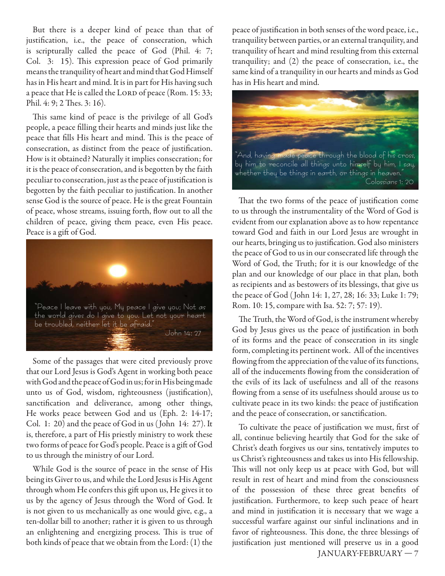But there is a deeper kind of peace than that of justification, i.e., the peace of consecration, which is scripturally called the peace of God (Phil. 4: 7; Col. 3: 15). This expression peace of God primarily means the tranquility of heart and mind that God Himself has in His heart and mind. It is in part for His having such a peace that He is called the LORD of peace (Rom. 15: 33; Phil. 4: 9; 2 Thes. 3: 16).

This same kind of peace is the privilege of all God's people, a peace filling their hearts and minds just like the peace that fills His heart and mind. This is the peace of consecration, as distinct from the peace of justification. How is it obtained? Naturally it implies consecration; for it is the peace of consecration, and is begotten by the faith peculiar to consecration, just as the peace of justification is begotten by the faith peculiar to justification. In another sense God is the source of peace. He is the great Fountain of peace, whose streams, issuing forth, flow out to all the children of peace, giving them peace, even His peace. Peace is a gift of God.



Some of the passages that were cited previously prove that our Lord Jesus is God's Agent in working both peace with God and the peace of God in us; for in His being made unto us of God, wisdom, righteousness (justification), sanctification and deliverance, among other things, He works peace between God and us (Eph. 2: 14-17; Col. 1: 20) and the peace of God in us ( John 14: 27). It is, therefore, a part of His priestly ministry to work these two forms of peace for God's people. Peace is a gift of God to us through the ministry of our Lord.

While God is the source of peace in the sense of His being its Giver to us, and while the Lord Jesus is His Agent through whom He confers this gift upon us, He gives it to us by the agency of Jesus through the Word of God. It is not given to us mechanically as one would give, e.g., a ten-dollar bill to another; rather it is given to us through an enlightening and energizing process. This is true of both kinds of peace that we obtain from the Lord: (1) the

peace of justification in both senses of the word peace, i.e., tranquility between parties, or an external tranquility, and tranquility of heart and mind resulting from this external tranquility; and (2) the peace of consecration, i.e., the same kind of a tranquility in our hearts and minds as God has in His heart and mind.



That the two forms of the peace of justification come to us through the instrumentality of the Word of God is evident from our explanation above as to how repentance toward God and faith in our Lord Jesus are wrought in our hearts, bringing us to justification. God also ministers the peace of God to us in our consecrated life through the Word of God, the Truth; for it is our knowledge of the plan and our knowledge of our place in that plan, both as recipients and as bestowers of its blessings, that give us the peace of God ( John 14: 1, 27, 28; 16: 33; Luke 1: 79; Rom. 10: 15, compare with Isa. 52: 7; 57: 19).

The Truth, the Word of God, is the instrument whereby God by Jesus gives us the peace of justification in both of its forms and the peace of consecration in its single form, completing its pertinent work. All of the incentives flowing from the appreciation of the value of its functions, all of the inducements flowing from the consideration of the evils of its lack of usefulness and all of the reasons flowing from a sense of its usefulness should arouse us to cultivate peace in its two kinds: the peace of justification and the peace of consecration, or sanctification.

 JANUARY-FEBRUARY — 7 To cultivate the peace of justification we must, first of all, continue believing heartily that God for the sake of Christ's death forgives us our sins, tentatively imputes to us Christ's righteousness and takes us into His fellowship. This will not only keep us at peace with God, but will result in rest of heart and mind from the consciousness of the possession of these three great benefits of justification. Furthermore, to keep such peace of heart and mind in justification it is necessary that we wage a successful warfare against our sinful inclinations and in favor of righteousness. This done, the three blessings of justification just mentioned will preserve us in a good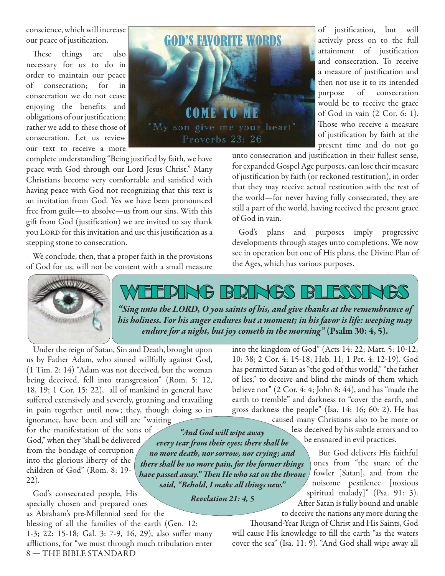conscience, which will increase our peace of justification.

These things are also necessary for us to do in order to maintain our peace of consecration; for in consecration we do not cease enjoying the benefits and obligations of our justification; rather we add to these those of consecration. Let us review our text to receive a more



complete understanding "Being justified by faith, we have peace with God through our Lord Jesus Christ." Many Christians become very comfortable and satisfied with having peace with God not recognizing that this text is an invitation from God. Yes we have been pronounced free from guilt—to absolve—us from our sins. With this gift from God (justification) we are invited to say thank you LORD for this invitation and use this justification as a stepping stone to consecration.

We conclude, then, that a proper faith in the provisions of God for us, will not be content with a small measure

of justification, but will actively press on to the full attainment of justification and consecration. To receive a measure of justification and then not use it to its intended purpose of consecration would be to receive the grace of God in vain (2 Cor. 6: 1). Those who receive a measure of justification by faith at the present time and do not go

unto consecration and justification in their fullest sense, for expanded Gospel Age purposes, can lose their measure of justification by faith (or reckoned restitution), in order that they may receive actual restitution with the rest of the world—for never having fully consecrated, they are still a part of the world, having received the present grace of God in vain.

God's plans and purposes imply progressive developments through stages unto completions. We now see in operation but one of His plans, the Divine Plan of the Ages, which has various purposes.



## ING BRINGS BLESSIN

*"Sing unto the LORD, O you saints of his, and give thanks at the remembrance of his holiness. For his anger endures but a moment; in his favor is life: weeping may endure for a night, but joy cometh in the morning"* **(Psalm 30: 4, 5).**

Under the reign of Satan, Sin and Death, brought upon us by Father Adam, who sinned willfully against God, (1 Tim. 2: 14) "Adam was not deceived, but the woman being deceived, fell into transgression" (Rom. 5: 12, 18, 19; 1 Cor. 15: 22), all of mankind in general have suffered extensively and severely, groaning and travailing in pain together until now; they, though doing so in ignorance, have been and still are "waiting

for the manifestation of the sons of God," when they "shall be delivered from the bondage of corruption into the glorious liberty of the children of God" (Rom. 8: 19- 22). *there shall be no more pain, for the former things*  have passed away." Then He who sat on the throne

God's consecrated people, His specially chosen and prepared ones as Abraham's pre-Millennial seed for the

8 — THE BIBLE STANDARD blessing of all the families of the earth (Gen. 12: 1-3; 22: 15-18; Gal. 3: 7-9, 16, 29), also suffer many afflictions, for "we must through much tribulation enter

into the kingdom of God" (Acts 14: 22; Matt. 5: 10-12; 10: 38; 2 Cor. 4: 15-18; Heb. 11; 1 Pet. 4: 12-19). God has permitted Satan as "the god of this world," "the father of lies," to deceive and blind the minds of them which believe not" (2 Cor. 4: 4; John 8: 44), and has "made the earth to tremble" and darkness to "cover the earth, and gross darkness the people" (Isa. 14: 16; 60: 2). He has

caused many Christians also to be more or less deceived by his subtle errors and to be ensnared in evil practices. *every tear fr om their eyes; there shall be* 

> But God delivers His faithful ones from "the snare of the fowler [Satan], and from the noisome pestilence [noxious spiritual malady]" (Psa. 91: 3). After Satan is fully bound and unable

to deceive the nations any more during the Thousand-Year Reign of Christ and His Saints, God

will cause His knowledge to fill the earth "as the waters cover the sea" (Isa. 11: 9). "And God shall wipe away all

*said, "Behold, I make all things new." Revelation 21: 4, 5*

*"And God will wipe away* 

*no more death, nor sorrow, nor crying; and*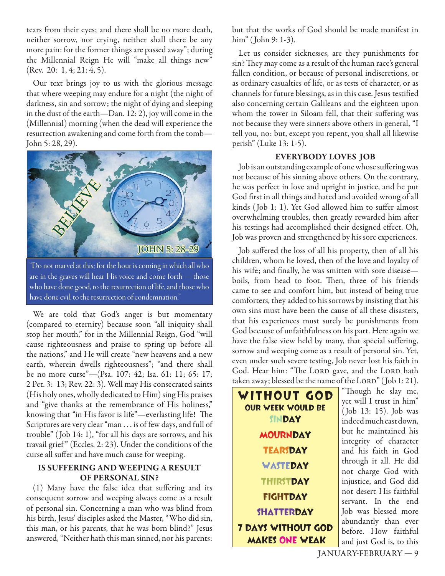tears from their eyes; and there shall be no more death, neither sorrow, nor crying, neither shall there be any more pain: for the former things are passed away"; during the Millennial Reign He will "make all things new" (Rev. 20: 1, 4; 21: 4, 5).

Our text brings joy to us with the glorious message that where weeping may endure for a night (the night of darkness, sin and sorrow; the night of dying and sleeping in the dust of the earth—Dan. 12: 2), joy will come in the (Millennial) morning (when the dead will experience the resurrection awakening and come forth from the tomb— John 5: 28, 29).



are in the graves will hear His voice and come forth — those who have done good, to the resurrection of life, and those who have done evil, to the resurrection of condemnation."

We are told that God's anger is but momentary (compared to eternity) because soon "all iniquity shall stop her mouth," for in the Millennial Reign, God "will cause righteousness and praise to spring up before all the nations," and He will create "new heavens and a new earth, wherein dwells righteousness"; "and there shall be no more curse"—(Psa. 107: 42; Isa. 61: 11; 65: 17; 2 Pet. 3: 13; Rev. 22: 3). Well may His consecrated saints (His holy ones, wholly dedicated to Him) sing His praises and "give thanks at the remembrance of His holiness," knowing that "in His favor is life"—everlasting life! The Scriptures are very clear "man . . . is of few days, and full of trouble" ( Job 14: 1), "for all his days are sorrows, and his travail grief " (Eccles. 2: 23). Under the conditions of the curse all suffer and have much cause for weeping.

#### **IS SUFFERING AND WEEPING A RESULT OF PERSONAL SIN?**

 $(1)$  Many have the false idea that suffering and its consequent sorrow and weeping always come as a result of personal sin. Concerning a man who was blind from his birth, Jesus' disciples asked the Master, "Who did sin, this man, or his parents, that he was born blind?" Jesus answered, "Neither hath this man sinned, nor his parents:

but that the works of God should be made manifest in him" (John 9: 1-3).

Let us consider sicknesses, are they punishments for sin? They may come as a result of the human race's general fallen condition, or because of personal indiscretions, or as ordinary casualties of life, or as tests of character, or as channels for future blessings, as in this case. Jesus testified also concerning certain Galileans and the eighteen upon whom the tower in Siloam fell, that their suffering was not because they were sinners above others in general, "I tell you, no: but, except you repent, you shall all likewise perish" (Luke 13: 1-5).

#### **EVERYBODY LOVES JOB**

Job is an outstanding example of one whose suffering was not because of his sinning above others. On the contrary, he was perfect in love and upright in justice, and he put God first in all things and hated and avoided wrong of all kinds (Job 1: 1). Yet God allowed him to suffer almost overwhelming troubles, then greatly rewarded him after his testings had accomplished their designed effect. Oh, Job was proven and strengthened by his sore experiences.

Job suffered the loss of all his property, then of all his children, whom he loved, then of the love and loyalty of his wife; and finally, he was smitten with sore disease boils, from head to foot. Then, three of his friends came to see and comfort him, but instead of being true comforters, they added to his sorrows by insisting that his own sins must have been the cause of all these disasters, that his experiences must surely be punishments from God because of unfaithfulness on his part. Here again we have the false view held by many, that special suffering, sorrow and weeping come as a result of personal sin. Yet, even under such severe testing, Job never lost his faith in God. Hear him: "The LORD gave, and the LORD hath taken away; blessed be the name of the  $LORD''$  (Job  $1:21$ ).

WITHOUT GOD OUR WEEK WOULD BE SINDAY **MOURNDAY TEARSDAY WASTEDAY THIRSTDAY** FIGHTDAY **SHATTERDAY** 7 Days Without God MAKES ONE WEAK

"Th ough he slay me, yet will I trust in him" ( Job 13: 15). Job was indeed much cast down, but he maintained his integrity of character and his faith in God through it all. He did not charge God with injustice, and God did not desert His faithful servant. In the end Job was blessed more abundantly than ever before. How faithful and just God is, to this

JANUARY-FEBRUARY — 9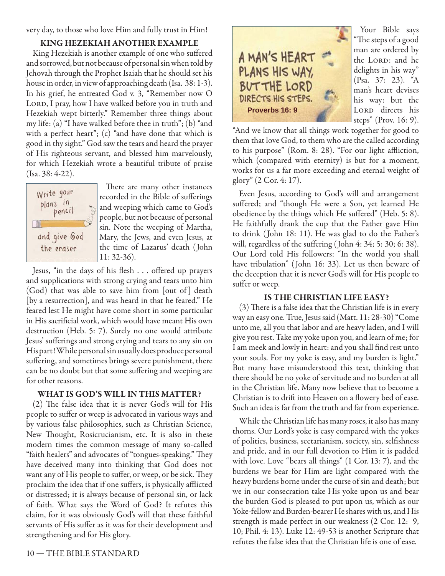very day, to those who love Him and fully trust in Him!

#### **KING HEZEKIAH ANOTHER EXAMPLE**

King Hezekiah is another example of one who suffered and sorrowed, but not because of personal sin when told by Jehovah through the Prophet Isaiah that he should set his house in order, in view of approaching death (Isa. 38: 1-3). In his grief, he entreated God v. 3, "Remember now O LORD, I pray, how I have walked before you in truth and Hezekiah wept bitterly." Remember three things about my life: (a) "I have walked before thee in truth"; (b) "and with a perfect heart"; (c) "and have done that which is good in thy sight." God saw the tears and heard the prayer of His righteous servant, and blessed him marvelously, for which Hezekiah wrote a beautiful tribute of praise (Isa. 38: 4-22).



There are many other instances recorded in the Bible of sufferings and weeping which came to God's people, but not because of personal sin. Note the weeping of Martha, Mary, the Jews, and even Jesus, at the time of Lazarus' death ( John 11: 32-36).

Jesus, "in the days of his flesh . . . offered up prayers and supplications with strong crying and tears unto him (God) that was able to save him from [out of ] death [by a resurrection], and was heard in that he feared." He feared lest He might have come short in some particular in His sacrificial work, which would have meant His own destruction (Heb. 5: 7). Surely no one would attribute Jesus' sufferings and strong crying and tears to any sin on His part! While personal sin usually does produce personal suffering, and sometimes brings severe punishment, there can be no doubt but that some suffering and weeping are for other reasons.

#### **WHAT IS GOD'S WILL IN THIS MATTER?**

 $(2)$  The false idea that it is never God's will for His people to suffer or weep is advocated in various ways and by various false philosophies, such as Christian Science, New Thought, Rosicrucianism, etc. It is also in these modern times the common message of many so-called "faith healers" and advocates of "tongues-speaking." They have deceived many into thinking that God does not want any of His people to suffer, or weep, or be sick. They proclaim the idea that if one suffers, is physically afflicted or distressed; it is always because of personal sin, or lack of faith. What says the Word of God? It refutes this claim, for it was obviously God's will that these faithful servants of His suffer as it was for their development and strengthening and for His glory.



Your Bible says "The steps of a good man are ordered by the LORD: and he delights in his way" (Psa. 37: 23). "A man's heart devises his way: but the LORD directs his steps" (Prov. 16: 9).

"And we know that all things work together for good to them that love God, to them who are the called according to his purpose" (Rom. 8: 28). "For our light affliction, which (compared with eternity) is but for a moment, works for us a far more exceeding and eternal weight of glory" (2 Cor. 4: 17).

Even Jesus, according to God's will and arrangement suffered; and "though He were a Son, yet learned He obedience by the things which He suffered" (Heb. 5: 8). He faithfully drank the cup that the Father gave Him to drink ( John 18: 11). He was glad to do the Father's will, regardless of the suffering (John  $4: 34; 5: 30; 6: 38$ ). Our Lord told His followers: "In the world you shall have tribulation" ( John 16: 33). Let us then beware of the deception that it is never God's will for His people to suffer or weep.

#### **IS THE CHRISTIAN LIFE EASY?**

 $(3)$  There is a false idea that the Christian life is in every way an easy one. True, Jesus said (Matt. 11: 28-30) "Come unto me, all you that labor and are heavy laden, and I will give you rest. Take my yoke upon you, and learn of me; for I am meek and lowly in heart: and you shall find rest unto your souls. For my yoke is easy, and my burden is light." But many have misunderstood this text, thinking that there should be no yoke of servitude and no burden at all in the Christian life. Many now believe that to become a Christian is to drift into Heaven on a flowery bed of ease. Such an idea is far from the truth and far from experience.

While the Christian life has many roses, it also has many thorns. Our Lord's yoke is easy compared with the yokes of politics, business, sectarianism, society, sin, selfishness and pride, and in our full devotion to Him it is padded with love. Love "bears all things" (1 Cor. 13: 7), and the burdens we bear for Him are light compared with the heavy burdens borne under the curse of sin and death; but we in our consecration take His yoke upon us and bear the burden God is pleased to put upon us, which as our Yoke-fellow and Burden-bearer He shares with us, and His strength is made perfect in our weakness (2 Cor. 12: 9, 10; Phil. 4: 13). Luke 12: 49-53 is another Scripture that refutes the false idea that the Christian life is one of ease.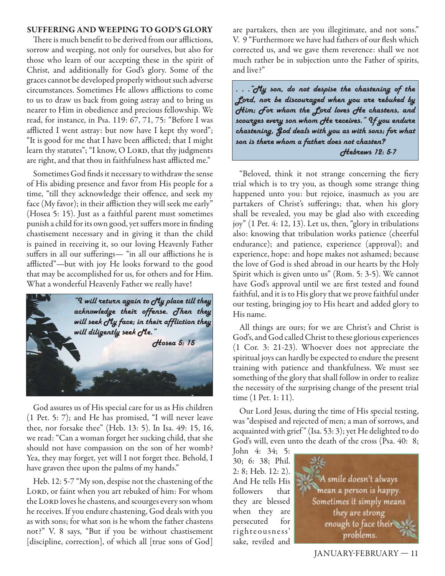#### **SUFFERING AND WEEPING TO GOD'S GLORY**

There is much benefit to be derived from our afflictions, sorrow and weeping, not only for ourselves, but also for those who learn of our accepting these in the spirit of Christ, and additionally for God's glory. Some of the graces cannot be developed properly without such adverse circumstances. Sometimes He allows afflictions to come to us to draw us back from going astray and to bring us nearer to Him in obedience and precious fellowship. We read, for instance, in Psa. 119: 67, 71, 75: "Before I was afflicted I went astray: but now have I kept thy word"; "It is good for me that I have been afflicted; that I might learn thy statutes"; "I know, O LORD, that thy judgments are right, and that thou in faithfulness hast afflicted me."

Sometimes God finds it necessary to withdraw the sense of His abiding presence and favor from His people for a time, "till they acknowledge their offence, and seek my face (My favor); in their affliction they will seek me early" (Hosea 5: 15). Just as a faithful parent must sometimes punish a child for its own good, yet suffers more in finding chastisement necessary and in giving it than the child is pained in receiving it, so our loving Heavenly Father suffers in all our sufferings— "in all our afflictions he is afflicted"—but with joy He looks forward to the good that may be accomplished for us, for others and for Him. What a wonderful Heavenly Father we really have!



God assures us of His special care for us as His children (1 Pet. 5: 7); and He has promised, "I will never leave thee, nor forsake thee" (Heb. 13: 5). In Isa. 49: 15, 16, we read: "Can a woman forget her sucking child, that she should not have compassion on the son of her womb? Yea, they may forget, yet will I not forget thee. Behold, I have graven thee upon the palms of my hands."

Heb. 12: 5-7 "My son, despise not the chastening of the LORD, or faint when you art rebuked of him: For whom the LORD loves he chastens, and scourges every son whom he receives. If you endure chastening, God deals with you as with sons; for what son is he whom the father chastens not?" V. 8 says, "But if you be without chastisement [discipline, correction], of which all [true sons of God] are partakers, then are you illegitimate, and not sons." V. 9 "Furthermore we have had fathers of our flesh which corrected us, and we gave them reverence: shall we not much rather be in subjection unto the Father of spirits, and live?"

*. . ."My son, do not despise the chastening of the Lord, nor be discouraged when you are rebuked by Him; For whom the Lord loves He chastens, and scourges every son whom He receives." If you endure chastening, God deals with you as with sons; for what son is there whom a father does not chasten? Hebrews 12: 5-7* 

"Beloved, think it not strange concerning the fiery trial which is to try you, as though some strange thing happened unto you: but rejoice, inasmuch as you are partakers of Christ's sufferings; that, when his glory shall be revealed, you may be glad also with exceeding joy" (1 Pet. 4: 12, 13). Let us, then, "glory in tribulations also: knowing that tribulation works patience (cheerful endurance); and patience, experience (approval); and experience, hope: and hope makes not ashamed; because the love of God is shed abroad in our hearts by the Holy Spirit which is given unto us" (Rom. 5: 3-5). We cannot have God's approval until we are first tested and found faithful, and it is to His glory that we prove faithful under our testing, bringing joy to His heart and added glory to His name.

All things are ours; for we are Christ's and Christ is God's, and God called Christ to these glorious experiences (1 Cor. 3: 21-23). Whoever does not appreciate the spiritual joys can hardly be expected to endure the present training with patience and thankfulness. We must see something of the glory that shall follow in order to realize the necessity of the surprising change of the present trial time (1 Pet. 1: 11).

Our Lord Jesus, during the time of His special testing, was "despised and rejected of men; a man of sorrows, and acquainted with grief " (Isa. 53: 3); yet He delighted to do God's will, even unto the death of the cross (Psa. 40: 8;

John 4: 34; 5: 30; 6: 38; Phil. 2: 8; Heb. 12: 2). And He tells His followers that they are blessed when they are persecuted for righteousness' sake, reviled and

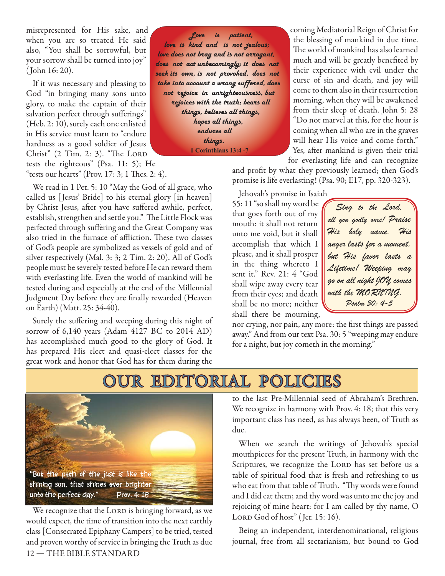misrepresented for His sake, and when you are so treated He said also, "You shall be sorrowful, but your sorrow shall be turned into joy" ( John 16: 20).

If it was necessary and pleasing to God "in bringing many sons unto glory, to make the captain of their salvation perfect through sufferings" (Heb. 2: 10), surely each one enlisted in His service must learn to "endure hardness as a good soldier of Jesus Christ"  $(2$  Tim. 2: 3). "The LORD tests the righteous" (Psa. 11: 5); He "tests our hearts" (Prov.  $17:3; 1$  Thes.  $2:4$ ).

We read in 1 Pet. 5: 10 "May the God of all grace, who called us [ Jesus' Bride] to his eternal glory [in heaven] by Christ Jesus, after you have suffered awhile, perfect, establish, strengthen and settle you." The Little Flock was perfected through suffering and the Great Company was also tried in the furnace of affliction. These two classes of God's people are symbolized as vessels of gold and of silver respectively (Mal. 3: 3; 2 Tim. 2: 20). All of God's people must be severely tested before He can reward them with everlasting life. Even the world of mankind will be tested during and especially at the end of the Millennial Judgment Day before they are finally rewarded (Heaven on Earth) (Matt. 25: 34-40).

Surely the suffering and weeping during this night of sorrow of 6,140 years (Adam 4127 BC to 2014 AD) has accomplished much good to the glory of God. It has prepared His elect and quasi-elect classes for the great work and honor that God has for them during the

 *Love is patient, love is kind and is not jealous; love does not brag and is not arrogant, does not act unbecomingly; it does not seek its own, is not provoked, does not take into account a wrong suffered, does not rejoice in unrighteousness, but rejoices with the truth; bears all things, believes all things, hopes all things, endures all things.*  **1 Corinthians 13:4 -7**

coming Mediatorial Reign of Christ for the blessing of mankind in due time. The world of mankind has also learned much and will be greatly benefited by their experience with evil under the curse of sin and death, and joy will come to them also in their resurrection morning, when they will be awakened from their sleep of death. John 5: 28 "Do not marvel at this, for the hour is coming when all who are in the graves will hear His voice and come forth." Yes, after mankind is given their trial for everlasting life and can recognize

and profit by what they previously learned; then God's promise is life everlasting! (Psa. 90; E17, pp. 320-323).

Jehovah's promise in Isaiah 55: 11 "so shall my word be that goes forth out of my mouth: it shall not return unto me void, but it shall accomplish that which I please, and it shall prosper in the thing whereto I sent it." Rev. 21: 4 "God shall wipe away every tear from their eyes; and death shall be no more; neither shall there be mourning,

*Sing to the Lord, all you godly ones! Praise His holy name. His anger lasts for a moment, but His favor lasts a Lifetime! Weeping may go on all night JOY comes with the MORNING. Psalm 30: 4-5*

nor crying, nor pain, any more: the first things are passed away." And from our text Psa. 30: 5 "weeping may endure for a night, but joy cometh in the morning."

## OUR EDITORIAL POLICIES



12 — THE BIBLE STANDARD We recognize that the LORD is bringing forward, as we would expect, the time of transition into the next earthly class [Consecrated Epiphany Campers] to be tried, tested and proven worthy of service in bringing the Truth as due

to the last Pre-Millennial seed of Abraham's Brethren. We recognize in harmony with Prov. 4: 18; that this very important class has need, as has always been, of Truth as due.

When we search the writings of Jehovah's special mouthpieces for the present Truth, in harmony with the Scriptures, we recognize the LORD has set before us a table of spiritual food that is fresh and refreshing to us who eat from that table of Truth. "Thy words were found and I did eat them; and thy word was unto me the joy and rejoicing of mine heart: for I am called by thy name, O LORD God of host" (Jer. 15: 16).

Being an independent, interdenominational, religious journal, free from all sectarianism, but bound to God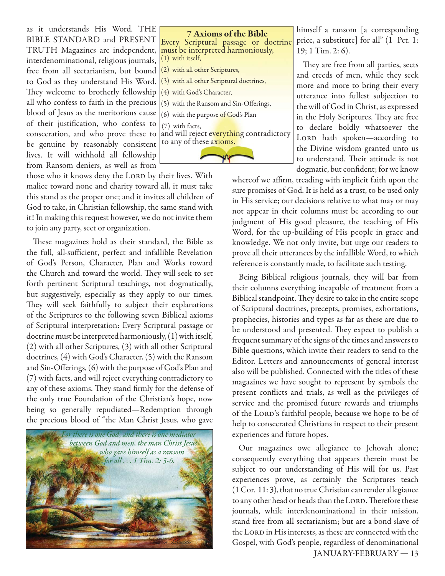as it understands His Word. THE BIBLE STANDARD and PRESENT TRUTH Magazines are independent, interdenominational, religious journals, free from all sectarianism, but bound to God as they understand His Word. They welcome to brotherly fellowship all who confess to faith in the precious blood of Jesus as the meritorious cause of their justification, who confess to consecration, and who prove these to be genuine by reasonably consistent lives. It will withhold all fellowship from Ransom deniers, as well as from

those who it knows deny the LORD by their lives. With malice toward none and charity toward all, it must take this stand as the proper one; and it invites all children of God to take, in Christian fellowship, the same stand with it! In making this request however, we do not invite them to join any party, sect or organization.

These magazines hold as their standard, the Bible as the full, all-sufficient, perfect and infallible Revelation of God's Person, Character, Plan and Works toward the Church and toward the world. They will seek to set forth pertinent Scriptural teachings, not dogmatically, but suggestively, especially as they apply to our times. They will seek faithfully to subject their explanations of the Scriptures to the following seven Biblical axioms of Scriptural interpretation: Every Scriptural passage or doctrine must be interpreted harmoniously, (1) with itself, (2) with all other Scriptures, (3) with all other Scriptural doctrines, (4) with God's Character, (5) with the Ransom and Sin-Offerings, (6) with the purpose of God's Plan and (7) with facts, and will reject everything contradictory to any of these axioms. They stand firmly for the defense of the only true Foundation of the Christian's hope, now being so generally repudiated—Redemption through the precious blood of "the Man Christ Jesus, who gave





himself a ransom [a corresponding price, a substitute] for all" (1 Pet. 1: 19; 1 Tim. 2: 6).

They are free from all parties, sects and creeds of men, while they seek more and more to bring their every utterance into fullest subjection to the will of God in Christ, as expressed in the Holy Scriptures. They are free to declare boldly whatsoever the LORD hath spoken-according to the Divine wisdom granted unto us to understand. Their attitude is not dogmatic, but confident; for we know

whereof we affirm, treading with implicit faith upon the sure promises of God. It is held as a trust, to be used only in His service; our decisions relative to what may or may not appear in their columns must be according to our judgment of His good pleasure, the teaching of His Word, for the up-building of His people in grace and knowledge. We not only invite, but urge our readers to prove all their utterances by the infallible Word, to which reference is constantly made, to facilitate such testing.

Being Biblical religious journals, they will bar from their columns everything incapable of treatment from a Biblical standpoint. They desire to take in the entire scope of Scriptural doctrines, precepts, promises, exhortations, prophecies, histories and types as far as these are due to be understood and presented. They expect to publish a frequent summary of the signs of the times and answers to Bible questions, which invite their readers to send to the Editor. Letters and announcements of general interest also will be published. Connected with the titles of these magazines we have sought to represent by symbols the present conflicts and trials, as well as the privileges of service and the promised future rewards and triumphs of the LORD's faithful people, because we hope to be of help to consecrated Christians in respect to their present experiences and future hopes.

 JANUARY-FEBRUARY — 13 Our magazines owe allegiance to Jehovah alone; consequently everything that appears therein must be subject to our understanding of His will for us. Past experiences prove, as certainly the Scriptures teach (1 Cor. 11: 3), that no true Christian can render allegiance to any other head or heads than the LORD. Therefore these journals, while interdenominational in their mission, stand free from all sectarianism; but are a bond slave of the LORD in His interests, as these are connected with the Gospel, with God's people, regardless of denominational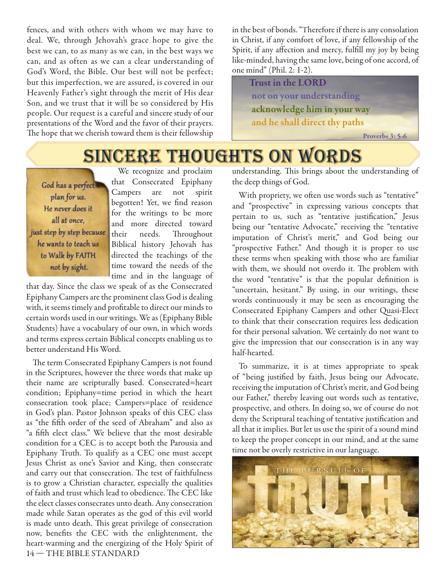fences, and with others with whom we may have to deal. We, through Jehovah's grace hope to give the best we can, to as many as we can, in the best ways we can, and as often as we can a clear understanding of God's Word, the Bible. Our best will not be perfect; but this imperfection, we are assured, is covered in our Heavenly Father's sight through the merit of His dear Son, and we trust that it will be so considered by His people. Our request is a careful and sincere study of our presentations of the Word and the favor of their prayers. The hope that we cherish toward them is their fellowship

in the best of bonds. "Therefore if there is any consolation in Christ, if any comfort of love, if any fellowship of the Spirit, if any affection and mercy, fulfill my joy by being like-minded, having the same love, being of one accord, of one mind" (Phil. 2: 1-2).

 **Trust in the LORD not on your understanding acknowledge him in your way and he shall direct thy paths**

 **Proverbs 3: 5-6**

## **SINCERE THOUGHTS ON WORDS**

God has a perfect plan for us. He never does it all at once. just step by step because he wants to teach us to Walk by FAITH not by sight.

We recognize and proclaim that Consecrated Epiphany Campers are not spirit begotten! Yet, we find reason for the writings to be more and more directed toward their needs. Throughout Biblical history Jehovah has directed the teachings of the time toward the needs of the time and in the language of

that day. Since the class we speak of as the Consecrated Epiphany Campers are the prominent class God is dealing with, it seems timely and profitable to direct our minds to certain words used in our writings. We as (Epiphany Bible Students) have a vocabulary of our own, in which words and terms express certain Biblical concepts enabling us to better understand His Word.

14 — THE BIBLE STANDARD The term Consecrated Epiphany Campers is not found in the Scriptures, however the three words that make up their name are scripturally based. Consecrated=heart condition; Epiphany=time period in which the heart consecration took place; Campers=place of residence in God's plan. Pastor Johnson speaks of this CEC class as "the fifth order of the seed of Abraham" and also as "a fifth elect class." We believe that the most desirable condition for a CEC is to accept both the Parousia and Epiphany Truth. To qualify as a CEC one must accept Jesus Christ as one's Savior and King, then consecrate and carry out that consecration. The test of faithfulness is to grow a Christian character, especially the qualities of faith and trust which lead to obedience. The CEC like the elect classes consecrates unto death. Any consecration made while Satan operates as the god of this evil world is made unto death. This great privilege of consecration now, benefits the CEC with the enlightenment, the heart-warming and the energizing of the Holy Spirit of understanding. This brings about the understanding of the deep things of God.

With propriety, we often use words such as "tentative" and "prospective" in expressing various concepts that pertain to us, such as "tentative justification," Jesus being our "tentative Advocate," receiving the "tentative imputation of Christ's merit," and God being our "prospective Father." And though it is proper to use these terms when speaking with those who are familiar with them, we should not overdo it. The problem with the word "tentative" is that the popular definition is "uncertain, hesitant." By using, in our writings, these words continuously it may be seen as encouraging the Consecrated Epiphany Campers and other Quasi-Elect to think that their consecration requires less dedication for their personal salvation. We certainly do not want to give the impression that our consecration is in any way half-hearted.

To summarize, it is at times appropriate to speak of "being justified by faith, Jesus being our Advocate, receiving the imputation of Christ's merit, and God being our Father," thereby leaving out words such as tentative, prospective, and others. In doing so, we of course do not deny the Scriptural teaching of tentative justification and all that it implies. But let us use the spirit of a sound mind to keep the proper concept in our mind, and at the same time not be overly restrictive in our language.

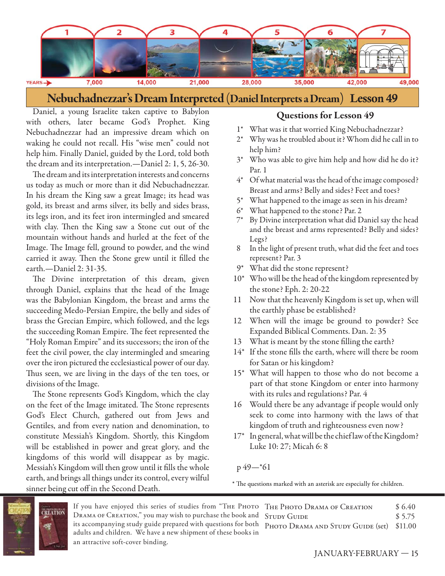

**Nebuchadnezzar's Dream Interpreted (Daniel Interprets a Dream)** Lesson 49

Daniel, a young Israelite taken captive to Babylon with others, later became God's Prophet. King Nebuchadnezzar had an impressive dream which on waking he could not recall. His "wise men" could not help him. Finally Daniel, guided by the Lord, told both the dream and its interpretation.—Daniel 2: 1, 5, 26-30.

The dream and its interpretation interests and concerns us today as much or more than it did Nebuchadnezzar. In his dream the King saw a great Image; its head was gold, its breast and arms silver, its belly and sides brass, its legs iron, and its feet iron intermingled and smeared with clay. Then the King saw a Stone cut out of the mountain without hands and hurled at the feet of the Image. The Image fell, ground to powder, and the wind carried it away. Then the Stone grew until it filled the earth.—Daniel 2: 31-35.

The Divine interpretation of this dream, given through Daniel, explains that the head of the Image was the Babylonian Kingdom, the breast and arms the succeeding Medo-Persian Empire, the belly and sides of brass the Grecian Empire, which followed, and the legs the succeeding Roman Empire. The feet represented the "Holy Roman Empire" and its successors; the iron of the feet the civil power, the clay intermingled and smearing over the iron pictured the ecclesiastical power of our day. Thus seen, we are living in the days of the ten toes, or divisions of the Image.

The Stone represents God's Kingdom, which the clay on the feet of the Image imitated. The Stone represents God's Elect Church, gathered out from Jews and Gentiles, and from every nation and denomination, to constitute Messiah's Kingdom. Shortly, this Kingdom will be established in power and great glory, and the kingdoms of this world will disappear as by magic. Messiah's Kingdom will then grow until it fills the whole earth, and brings all things under its control, every wilful sinner being cut off in the Second Death.

#### **Questions for Lesson 49**

- 1\* What was it that worried King Nebuchadnezzar?
- 2\* Why was he troubled about it? Whom did he call in to help him?
- 3\* Who was able to give him help and how did he do it? Par. 1
- 4\* Of what material was the head of the image composed? Breast and arms? Belly and sides? Feet and toes?
- 5\* What happened to the image as seen in his dream?
- 6\* What happened to the stone? Par. 2
- 7\* By Divine interpretation what did Daniel say the head and the breast and arms represented? Belly and sides? Legs?
- 8 In the light of present truth, what did the feet and toes represent? Par. 3
- 9\* What did the stone represent?
- 10\* Who will be the head of the kingdom represented by the stone? Eph. 2: 20-22
- 11 Now that the heavenly Kingdom is set up, when will the earthly phase be established?
- 12 When will the image be ground to powder? See Expanded Biblical Comments. Dan. 2: 35
- 13 What is meant by the stone filling the earth?
- $14^*$  If the stone fills the earth, where will there be room for Satan or his kingdom?
- 15\* What will happen to those who do not become a part of that stone Kingdom or enter into harmony with its rules and regulations? Par. 4
- 16 Would there be any advantage if people would only seek to come into harmony with the laws of that kingdom of truth and righteousness even now?
- 17\* In general, what will be the chief law of the Kingdom? Luke 10: 27; Micah 6: 8

#### $p 49$ —\*61

\* The questions marked with an asterisk are especially for children.



If you have enjoyed this series of studies from "Тне Рното Тне Рното Drama ог Creation \$ 6.40 Drama of Creation," you may wish to purchase the book and STUDY GUIDE \$5.75 its accompanying study guide prepared with questions for both PHOTO DRAMA AND STUDY GUIDE (set) \$11.00 adults and children. We have a new shipment of these books in an attractive soft-cover binding.